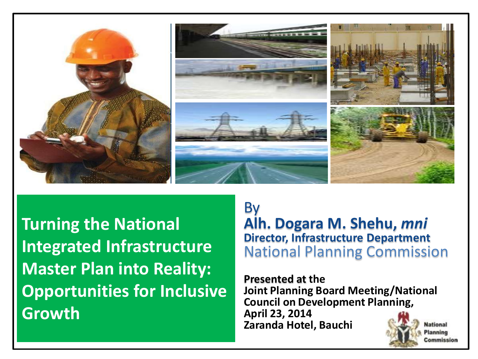

**Turning the National Integrated Infrastructure Master Plan into Reality: Opportunities for Inclusive Growth** 

#### By

**Alh. Dogara M. Shehu,** *mni* **Director, Infrastructure Department**  National Planning Commission

**Presented at the Joint Planning Board Meeting/National Council on Development Planning, April 23, 2014 Zaranda Hotel, BauchiNational** 



Planning Commission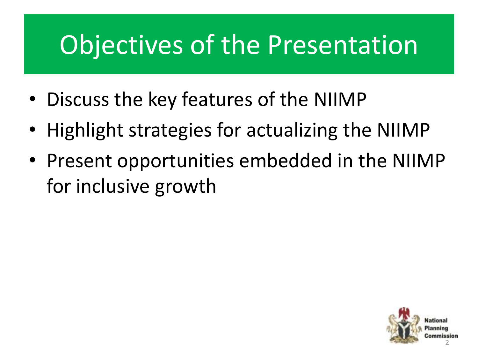# Objectives of the Presentation

- Discuss the key features of the NIIMP
- Highlight strategies for actualizing the NIIMP
- Present opportunities embedded in the NIIMP for inclusive growth

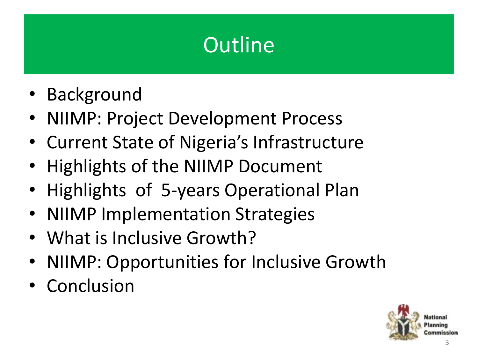## **Outline**

- Background
- NIIMP: Project Development Process
- Current State of Nigeria's Infrastructure
- Highlights of the NIIMP Document
- Highlights of 5-years Operational Plan
- NIIMP Implementation Strategies
- What is Inclusive Growth?
- NIIMP: Opportunities for Inclusive Growth
- Conclusion

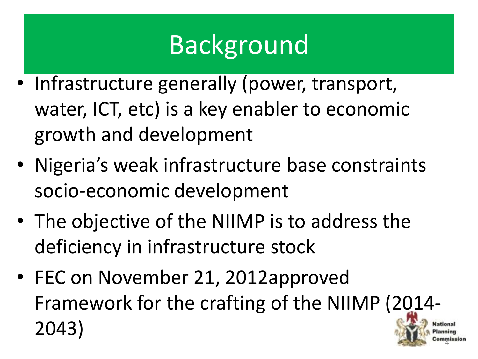# Background

- Infrastructure generally (power, transport, water, ICT, etc) is a key enabler to economic growth and development
- Nigeria's weak infrastructure base constraints socio-economic development
- The objective of the NIIMP is to address the deficiency in infrastructure stock
- FEC on November 21, 2012approved Framework for the crafting of the NIIMP (2014- 2043)

4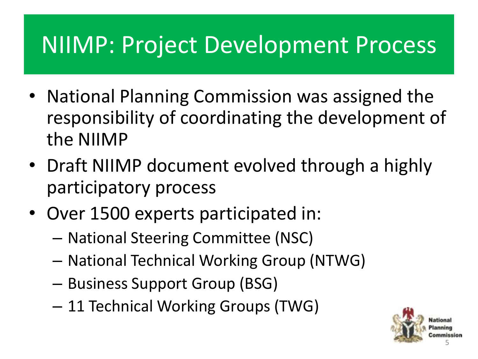- National Planning Commission was assigned the responsibility of coordinating the development of the NIIMP
- Draft NIIMP document evolved through a highly participatory process
- Over 1500 experts participated in:
	- National Steering Committee (NSC)
	- National Technical Working Group (NTWG)
	- Business Support Group (BSG)
	- 11 Technical Working Groups (TWG)

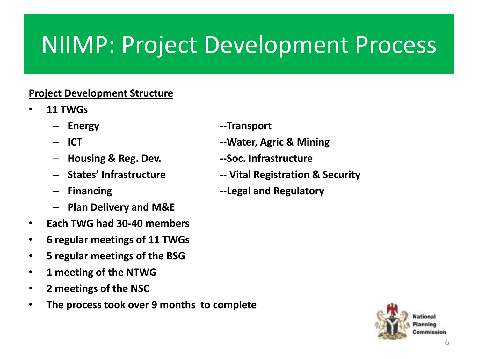#### **Project Development Structure**

- **11 TWGs**
	-
	-
	- **Housing & Reg. Dev. --Soc. Infrastructure**
	-
	-
	- **Plan Delivery and M&E**
- **Each TWG had 30-40 members**
- **6 regular meetings of 11 TWGs**
- **5 regular meetings of the BSG**
- **1 meeting of the NTWG**
- **2 meetings of the NSC**
- **The process took over 9 months to complete**
- **Energy --Transport**
- **ICT --Water, Agric & Mining**
	-
- **States' Infrastructure -- Vital Registration & Security**
- **Financing --Legal and Regulatory**

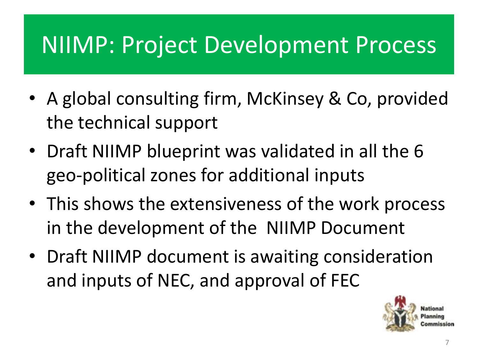- A global consulting firm, McKinsey & Co, provided the technical support
- Draft NIIMP blueprint was validated in all the 6 geo-political zones for additional inputs
- This shows the extensiveness of the work process in the development of the NIIMP Document
- Draft NIIMP document is awaiting consideration and inputs of NEC, and approval of FEC

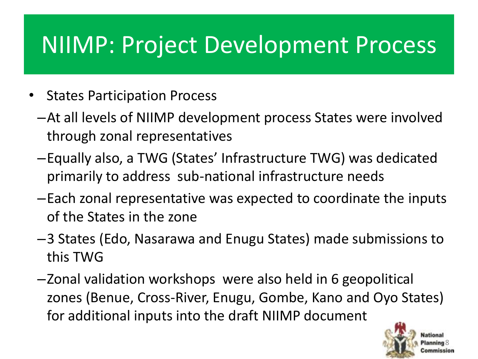- States Participation Process
	- –At all levels of NIIMP development process States were involved through zonal representatives
	- –Equally also, a TWG (States' Infrastructure TWG) was dedicated primarily to address sub-national infrastructure needs
	- –Each zonal representative was expected to coordinate the inputs of the States in the zone
	- –3 States (Edo, Nasarawa and Enugu States) made submissions to this TWG
	- –Zonal validation workshops were also held in 6 geopolitical zones (Benue, Cross-River, Enugu, Gombe, Kano and Oyo States) for additional inputs into the draft NIIMP document

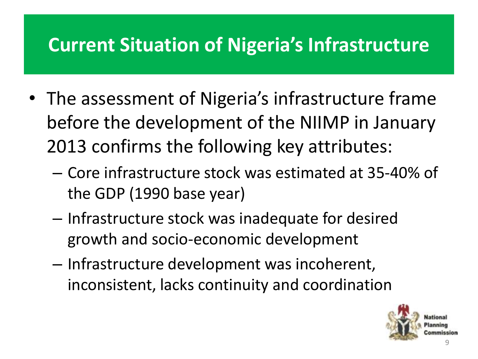### **Current Situation of Nigeria's Infrastructure**

- The assessment of Nigeria's infrastructure frame before the development of the NIIMP in January 2013 confirms the following key attributes:
	- Core infrastructure stock was estimated at 35-40% of the GDP (1990 base year)
	- Infrastructure stock was inadequate for desired growth and socio-economic development
	- Infrastructure development was incoherent, inconsistent, lacks continuity and coordination

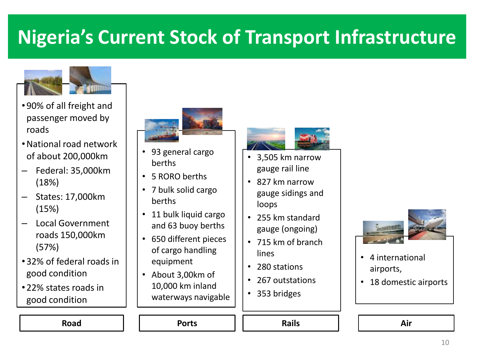### **Nigeria's Current Stock of Transport Infrastructure**



- 90% of all freight and passenger moved by roads
- •National road network of about 200,000km
- Federal: 35,000km (18%)
- States: 17,000km (15%)
- Local Government roads 150,000km (57%)
- 32% of federal roads in good condition
- 22% states roads in good condition



- 93 general cargo berths
- 5 RORO berths
- 7 bulk solid cargo berths
- 11 bulk liquid cargo and 63 buoy berths
- 650 different pieces of cargo handling equipment
- About 3,00km of 10,000 km inland waterways navigable



- 3,505 km narrow gauge rail line
- 827 km narrow gauge sidings and loops
- 255 km standard gauge (ongoing)
- 715 km of branch lines
- 280 stations
- 267 outstations
- 353 bridges

Road | | Ports || Rails | | Air



- 4 international airports,
- 18 domestic airports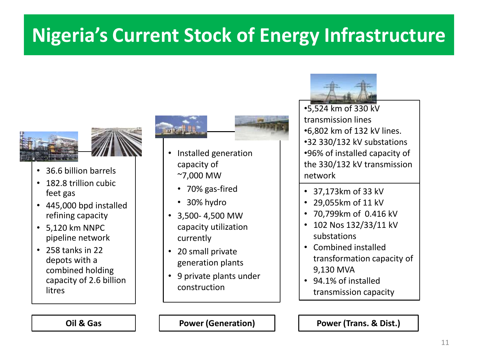## **Nigeria's Current Stock of Energy Infrastructure**





- 36.6 billion barrels
- 182.8 trillion cubic feet gas
- 445,000 bpd installed refining capacity
- 5,120 km NNPC pipeline network
- 258 tanks in 22 depots with a combined holding capacity of 2.6 billion litres

- Installed generation capacity of ~7,000 MW
	- 70% gas-fired
	- 30% hydro
- 3,500- 4,500 MW capacity utilization currently
- 20 small private generation plants
- 9 private plants under construction

•5,524 km of 330 kV transmission lines •6,802 km of 132 kV lines. •32 330/132 kV substations •96% of installed capacity of the 330/132 kV transmission network

- 37,173km of 33 kV
- 29,055km of 11 kV
- 70,799km of 0.416 kV
- 102 Nos 132/33/11 kV substations
- Combined installed transformation capacity of 9,130 MVA
- 94.1% of installed transmission capacity

**Oil & Gas Power (Generation) Power (Trans. & Dist.)**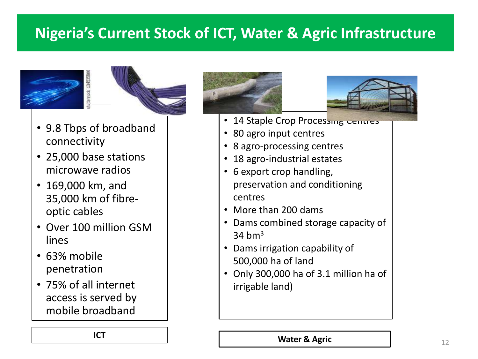#### **Nigeria's Current Stock of ICT, Water & Agric Infrastructure**





- 9.8 Tbps of broadband connectivity
- 25,000 base stations microwave radios
- 169,000 km, and 35,000 km of fibreoptic cables
- Over 100 million GSM lines
- 63% mobile penetration
- 75% of all internet access is served by mobile broadband





- 14 Staple Crop Processing Centres
- 80 agro input centres
- 8 agro-processing centres
- 18 agro-industrial estates
- 6 export crop handling, preservation and conditioning centres
- More than 200 dams
- Dams combined storage capacity of  $34$  hm<sup>3</sup>
- Dams irrigation capability of 500,000 ha of land
- Only 300,000 ha of 3.1 million ha of irrigable land)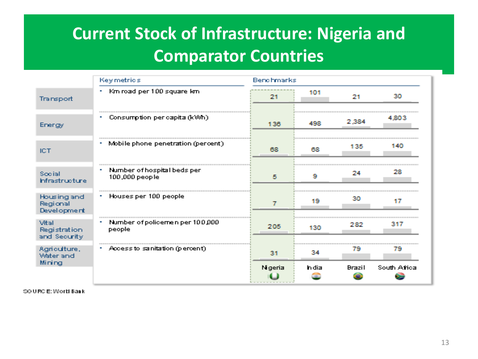### **Current Stock of Infrastructure: Nigeria and Comparator Countries**

|                                        | Key metrics                                   | Benchmarks |       |               |              |
|----------------------------------------|-----------------------------------------------|------------|-------|---------------|--------------|
| Transport                              | Km road per 100 square km<br>$\mathbf{u}_i$   | 21         | 101   | 21            | 240          |
| Energy                                 | Consumption per capita (kWh)                  | 136        | 498   | 2,384         | 4.803        |
| <b>ICT</b>                             | Mobile phone penetration (percent)            | 68         | m     | 135           | 140          |
| Social<br>Infrastructure               | Number of hospital beds per<br>100,000 people | 5          | 9     | 24            | 28           |
| Housing and<br>Regional<br>Development | Houses per 100 people                         | 7          | 19    | 30            |              |
| Vital<br>Registration<br>and Security. | Number of policemen per 100,000<br>people     | 205        | 130   | 282           | 317          |
| Agriculture,<br>Water and<br>Mining    | Access to sanitation (percent).               | 31         | 34    | 79            | 79           |
|                                        |                                               | Nigeria    | h dia | <b>Brazil</b> | South Africa |

SOURCE: World Bank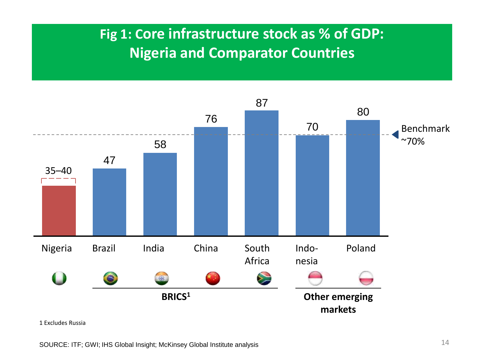#### **Fig 1: Core infrastructure stock as % of GDP: Nigeria and Comparator Countries**



1 Excludes Russia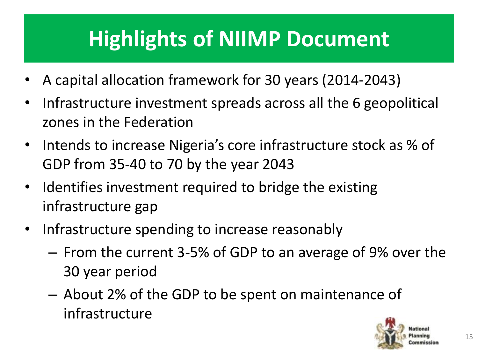## **Highlights of NIIMP Document**

- A capital allocation framework for 30 years (2014-2043)
- Infrastructure investment spreads across all the 6 geopolitical zones in the Federation
- Intends to increase Nigeria's core infrastructure stock as % of GDP from 35-40 to 70 by the year 2043
- Identifies investment required to bridge the existing infrastructure gap
- Infrastructure spending to increase reasonably
	- From the current 3-5% of GDP to an average of 9% over the 30 year period
	- About 2% of the GDP to be spent on maintenance of infrastructure

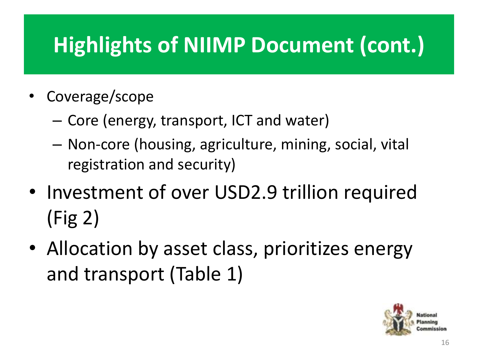## **Highlights of NIIMP Document (cont.)**

- Coverage/scope
	- Core (energy, transport, ICT and water)
	- Non-core (housing, agriculture, mining, social, vital registration and security)
- Investment of over USD2.9 trillion required (Fig 2)
- Allocation by asset class, prioritizes energy and transport (Table 1)

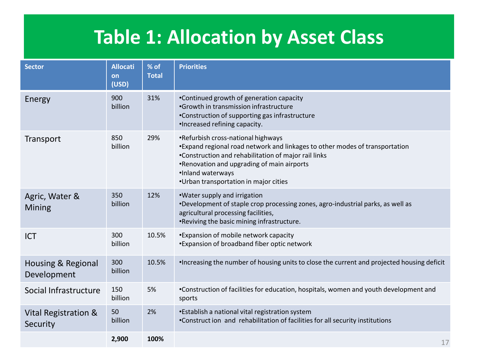### **Table 1: Allocation by Asset Class**

| <b>Sector</b>                     | <b>Allocati</b><br>on<br>(USD) | % of<br><b>Total</b> | <b>Priorities</b>                                                                                                                                                                                                                                                                     |
|-----------------------------------|--------------------------------|----------------------|---------------------------------------------------------------------------------------------------------------------------------------------------------------------------------------------------------------------------------------------------------------------------------------|
| Energy                            | 900<br>billion                 | 31%                  | •Continued growth of generation capacity<br>•Growth in transmission infrastructure<br>•Construction of supporting gas infrastructure<br>·Increased refining capacity.                                                                                                                 |
| Transport                         | 850<br>billion                 | 29%                  | •Refurbish cross-national highways<br>•Expand regional road network and linkages to other modes of transportation<br>•Construction and rehabilitation of major rail links<br>•Renovation and upgrading of main airports<br>·Inland waterways<br>•Urban transportation in major cities |
| Agric, Water &<br><b>Mining</b>   | 350<br>billion                 | 12%                  | .Water supply and irrigation<br>*Development of staple crop processing zones, agro-industrial parks, as well as<br>agricultural processing facilities,<br>.Reviving the basic mining infrastructure.                                                                                  |
| <b>ICT</b>                        | 300<br>billion                 | 10.5%                | *Expansion of mobile network capacity<br>*Expansion of broadband fiber optic network                                                                                                                                                                                                  |
| Housing & Regional<br>Development | 300<br>billion                 | 10.5%                | • Increasing the number of housing units to close the current and projected housing deficit                                                                                                                                                                                           |
| Social Infrastructure             | 150<br>billion                 | 5%                   | •Construction of facilities for education, hospitals, women and youth development and<br>sports                                                                                                                                                                                       |
| Vital Registration &<br>Security  | 50<br>billion                  | 2%                   | •Establish a national vital registration system<br>•Construct ion and rehabilitation of facilities for all security institutions                                                                                                                                                      |
|                                   | 2,900                          | 100%                 | 17                                                                                                                                                                                                                                                                                    |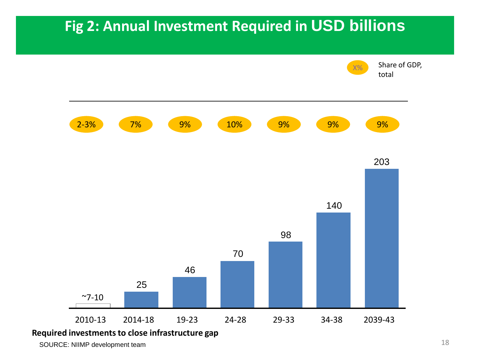#### **Fig 2: Annual Investment Required in USD billions**

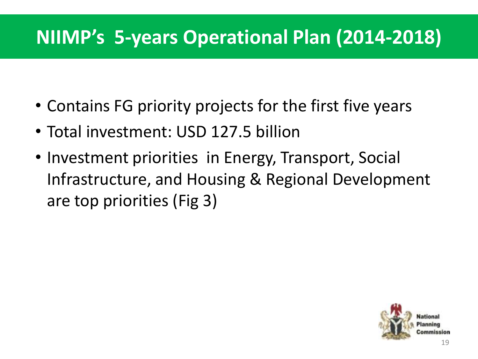### **NIIMP's 5-years Operational Plan (2014-2018)**

- Contains FG priority projects for the first five years
- Total investment: USD 127.5 billion
- Investment priorities in Energy, Transport, Social Infrastructure, and Housing & Regional Development are top priorities (Fig 3)

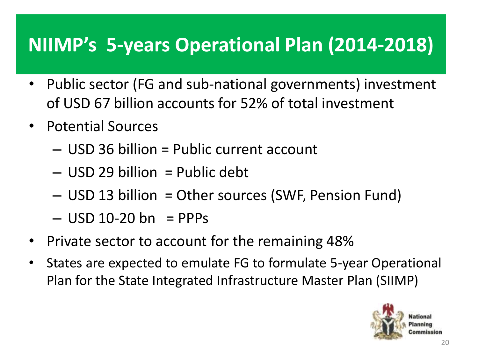### **NIIMP's 5-years Operational Plan (2014-2018)**

- Public sector (FG and sub-national governments) investment of USD 67 billion accounts for 52% of total investment
- Potential Sources
	- USD 36 billion = Public current account
	- USD 29 billion = Public debt
	- USD 13 billion = Other sources (SWF, Pension Fund)
	- $-$  USD 10-20 bn = PPPs
- Private sector to account for the remaining 48%
- States are expected to emulate FG to formulate 5-year Operational Plan for the State Integrated Infrastructure Master Plan (SIIMP)

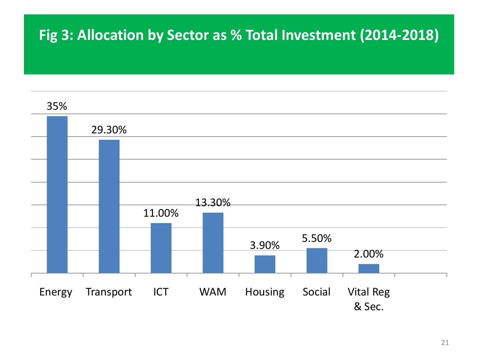#### **Fig 3: Allocation by Sector as % Total Investment (2014-2018)**

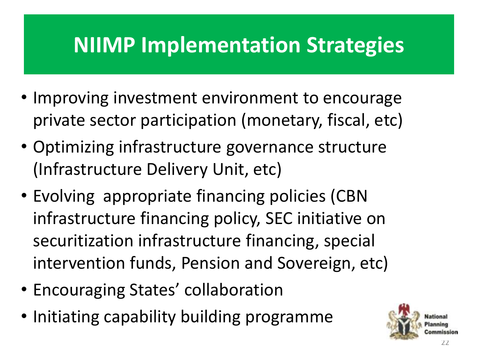## **NIIMP Implementation Strategies**

- Improving investment environment to encourage private sector participation (monetary, fiscal, etc)
- Optimizing infrastructure governance structure (Infrastructure Delivery Unit, etc)
- Evolving appropriate financing policies (CBN infrastructure financing policy, SEC initiative on securitization infrastructure financing, special intervention funds, Pension and Sovereign, etc)
- Encouraging States' collaboration
- Initiating capability building programme

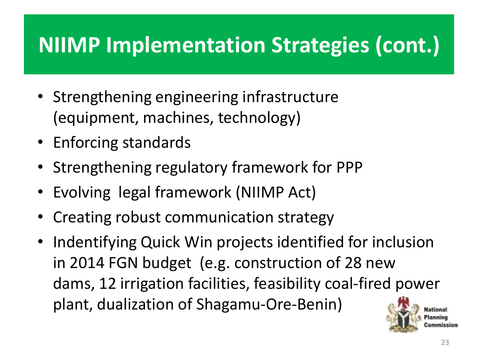## **NIIMP Implementation Strategies (cont.)**

- Strengthening engineering infrastructure (equipment, machines, technology)
- Enforcing standards
- Strengthening regulatory framework for PPP
- Evolving legal framework (NIIMP Act)
- Creating robust communication strategy
- Indentifying Quick Win projects identified for inclusion in 2014 FGN budget (e.g. construction of 28 new dams, 12 irrigation facilities, feasibility coal-fired power plant, dualization of Shagamu-Ore-Benin)

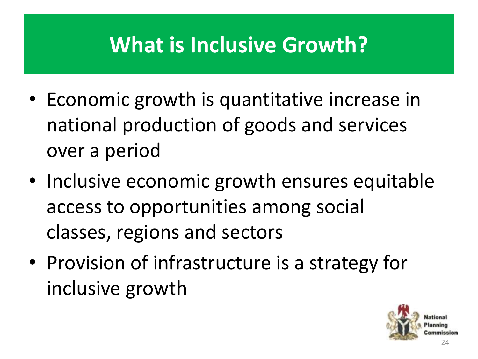## **What is Inclusive Growth?**

- Economic growth is quantitative increase in national production of goods and services over a period
- Inclusive economic growth ensures equitable access to opportunities among social classes, regions and sectors
- Provision of infrastructure is a strategy for inclusive growth

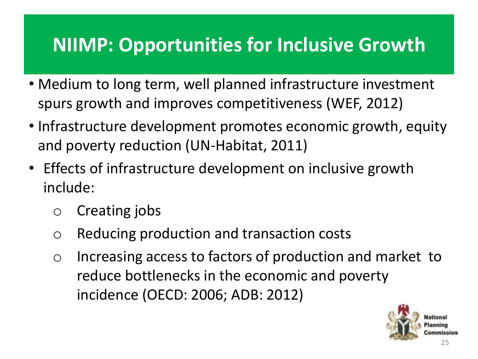- Medium to long term, well planned infrastructure investment spurs growth and improves competitiveness (WEF, 2012)
- Infrastructure development promotes economic growth, equity and poverty reduction (UN-Habitat, 2011)
- Effects of infrastructure development on inclusive growth include:
	- o Creating jobs
	- o Reducing production and transaction costs
	- o Increasing access to factors of production and market to reduce bottlenecks in the economic and poverty incidence (OECD: 2006; ADB: 2012)

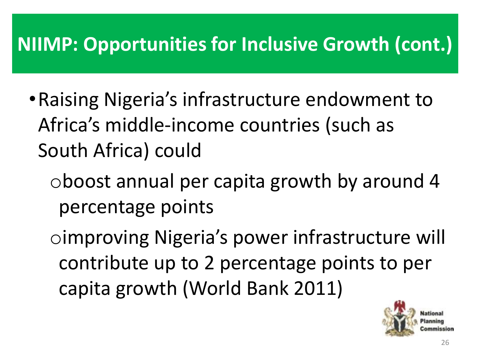- •Raising Nigeria's infrastructure endowment to Africa's middle-income countries (such as South Africa) could
	- oboost annual per capita growth by around 4 percentage points
	- oimproving Nigeria's power infrastructure will contribute up to 2 percentage points to per capita growth (World Bank 2011)

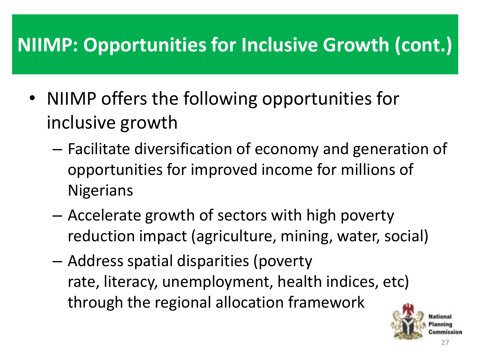- NIIMP offers the following opportunities for inclusive growth
	- Facilitate diversification of economy and generation of opportunities for improved income for millions of **Nigerians**
	- Accelerate growth of sectors with high poverty reduction impact (agriculture, mining, water, social)
	- Address spatial disparities (poverty rate, literacy, unemployment, health indices, etc) through the regional allocation framework

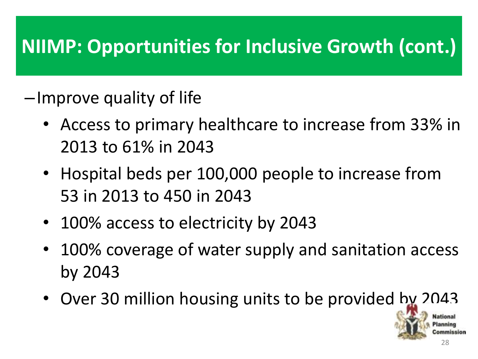### –Improve quality of life

- Access to primary healthcare to increase from 33% in 2013 to 61% in 2043
- Hospital beds per 100,000 people to increase from 53 in 2013 to 450 in 2043
- 100% access to electricity by 2043
- 100% coverage of water supply and sanitation access by 2043
- Over 30 million housing units to be provided by 2043

28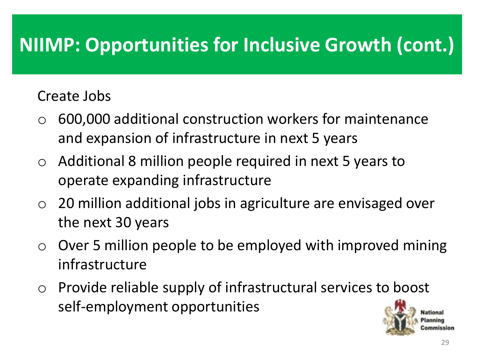#### Create Jobs

- o 600,000 additional construction workers for maintenance and expansion of infrastructure in next 5 years
- o Additional 8 million people required in next 5 years to operate expanding infrastructure
- $\circ$  20 million additional jobs in agriculture are envisaged over the next 30 years
- $\circ$  Over 5 million people to be employed with improved mining infrastructure
- o Provide reliable supply of infrastructural services to boost self-employment opportunities

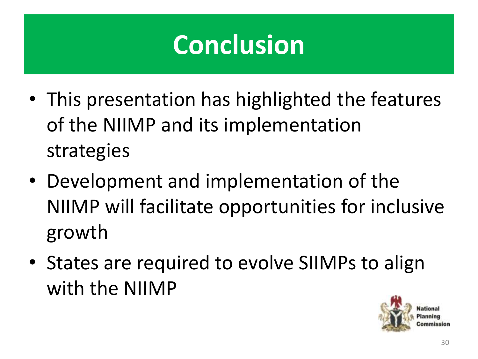# **Conclusion**

- This presentation has highlighted the features of the NIIMP and its implementation strategies
- Development and implementation of the NIIMP will facilitate opportunities for inclusive growth
- States are required to evolve SIIMPs to align with the NIIMP